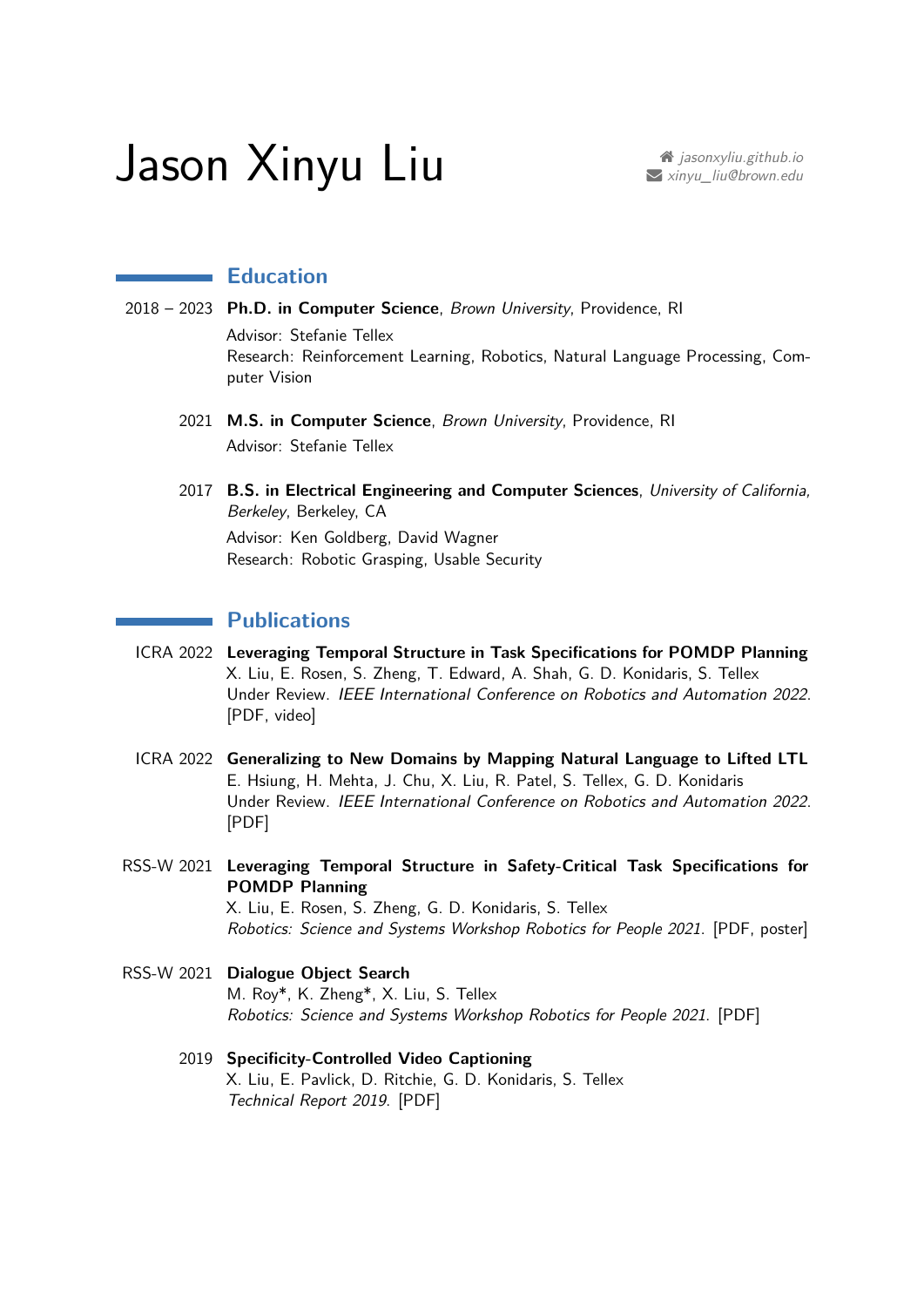# Jason Xinyu Liu **[jasonxyliu.github.io](https://jasonxyliu.github.io/)**

## **Education**

- 2018 2023 **Ph.D. in Computer Science**, Brown University, Providence, RI Advisor: Stefanie Tellex Research: Reinforcement Learning, Robotics, Natural Language Processing, Computer Vision
	- 2021 **M.S. in Computer Science**, Brown University, Providence, RI Advisor: Stefanie Tellex
	- 2017 **B.S. in Electrical Engineering and Computer Sciences**, University of California, Berkeley, Berkeley, CA Advisor: Ken Goldberg, David Wagner Research: Robotic Grasping, Usable Security

## **Publications**

- ICRA 2022 **Leveraging Temporal Structure in Task Specifications for POMDP Planning** X. Liu, E. Rosen, S. Zheng, T. Edward, A. Shah, G. D. Konidaris, S. Tellex Under Review. IEEE International Conference on Robotics and Automation 2022. [\[PDF,](https://jasonxyliu.github.io/paper/ltl-pomcp_icra22.pdf) [video\]](https://www.youtube.com/playlist?list=PLatvnx96BvtN9X5wfLSqeCPNamGNgnqXd)
- ICRA 2022 **Generalizing to New Domains by Mapping Natural Language to Lifted LTL** E. Hsiung, H. Mehta, J. Chu, X. Liu, R. Patel, S. Tellex, G. D. Konidaris Under Review. IEEE International Conference on Robotics and Automation 2022. [\[PDF\]](https://arxiv.org/pdf/2110.05603.pdf)
- RSS-W 2021 **Leveraging Temporal Structure in Safety-Critical Task Specifications for POMDP Planning** X. Liu, E. Rosen, S. Zheng, G. D. Konidaris, S. Tellex Robotics: Science and Systems Workshop Robotics for People 2021. [\[PDF,](https://jasonxyliu.github.io/paper/ltl-pomcp_rssw21.pdf) [poster\]](https://jasonxyliu.github.io/poster/ltl-pomcp_rssw21.jpg)
- RSS-W 2021 **Dialogue Object Search** M. Roy\*, K. Zheng\*, X. Liu, S. Tellex Robotics: Science and Systems Workshop Robotics for People 2021. [\[PDF\]](https://arxiv.org/pdf/2107.10653.pdf)
	- 2019 **Specificity-Controlled Video Captioning** X. Liu, E. Pavlick, D. Ritchie, G. D. Konidaris, S. Tellex Technical Report 2019. [\[PDF\]](https://jasonxyliu.github.io/paper/scvc_19.pdf)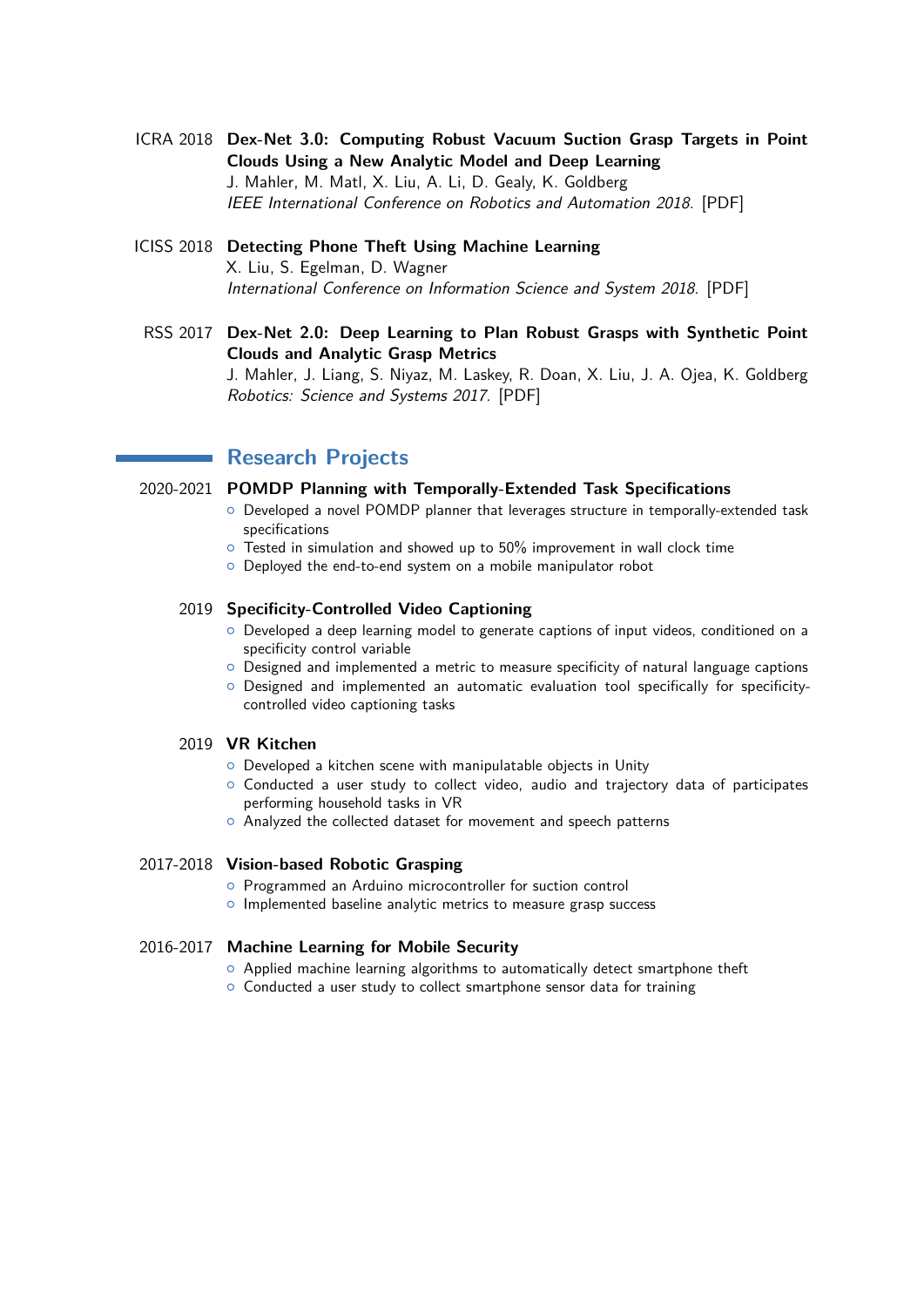- ICRA 2018 **Dex-Net 3.0: Computing Robust Vacuum Suction Grasp Targets in Point Clouds Using a New Analytic Model and Deep Learning** J. Mahler, M. Matl, X. Liu, A. Li, D. Gealy, K. Goldberg IEEE International Conference on Robotics and Automation 2018. [\[PDF\]](https://jasonxyliu.github.io/paper/dexnet-3_icra18.pdf)
- ICISS 2018 **Detecting Phone Theft Using Machine Learning** X. Liu, S. Egelman, D. Wagner International Conference on Information Science and System 2018. [\[PDF\]](https://jasonxyliu.github.io/paper/phone-theft_iciss18.pdf)
	- RSS 2017 **Dex-Net 2.0: Deep Learning to Plan Robust Grasps with Synthetic Point Clouds and Analytic Grasp Metrics** J. Mahler, J. Liang, S. Niyaz, M. Laskey, R. Doan, X. Liu, J. A. Ojea, K. Goldberg Robotics: Science and Systems 2017. [\[PDF\]](https://jasonxyliu.github.io/paper/dexnet-2_rss17.pdf)

# **Research Projects**

#### 2020-2021 **POMDP Planning with Temporally-Extended Task Specifications**

- { Developed a novel POMDP planner that leverages structure in temporally-extended task specifications
- $\circ$  Tested in simulation and showed up to 50% improvement in wall clock time
- { Deployed the end-to-end system on a mobile manipulator robot

#### 2019 **Specificity-Controlled Video Captioning**

- $\circ$  Developed a deep learning model to generate captions of input videos, conditioned on a specificity control variable
- $\circ$  Designed and implemented a metric to measure specificity of natural language captions
- $\circ$  Designed and implemented an automatic evaluation tool specifically for specificitycontrolled video captioning tasks

### 2019 **VR Kitchen**

- { Developed a kitchen scene with manipulatable objects in Unity
- $\circ$  Conducted a user study to collect video, audio and trajectory data of participates performing household tasks in VR
- { Analyzed the collected dataset for movement and speech patterns

#### 2017-2018 **Vision-based Robotic Grasping**

- { Programmed an Arduino microcontroller for suction control
- o Implemented baseline analytic metrics to measure grasp success

#### 2016-2017 **Machine Learning for Mobile Security**

- $\circ$  Applied machine learning algorithms to automatically detect smartphone theft
- $\circ$  Conducted a user study to collect smartphone sensor data for training